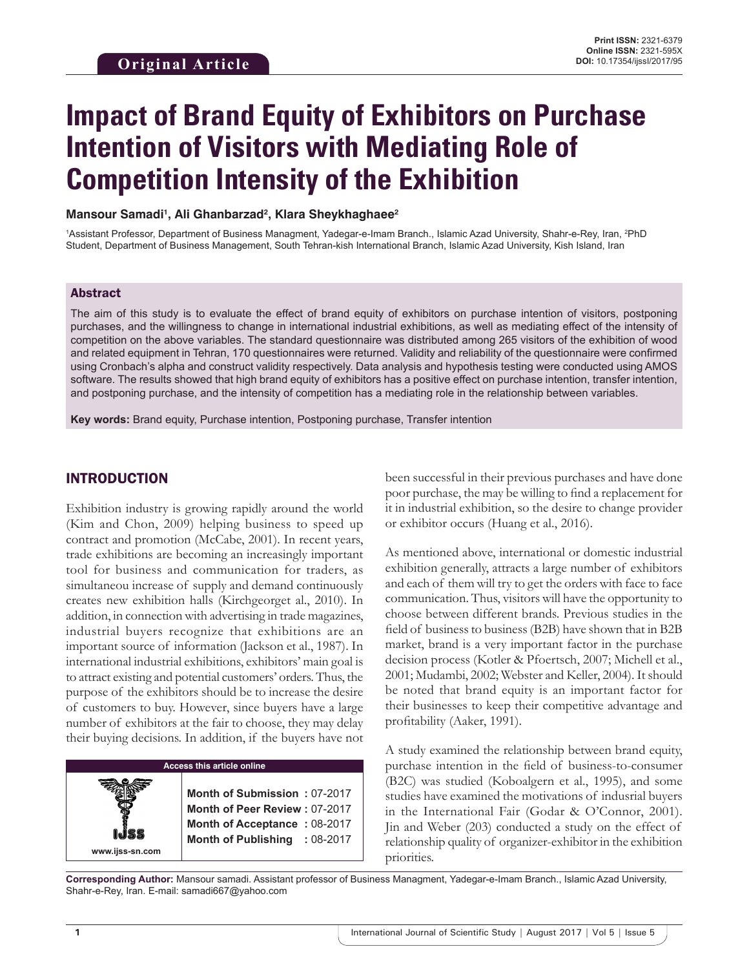# **Impact of Brand Equity of Exhibitors on Purchase Intention of Visitors with Mediating Role of Competition Intensity of the Exhibition**

#### Mansour Samadi<sup>1</sup>, Ali Ghanbarzad<sup>2</sup>, Klara Sheykhaghaee<sup>2</sup>

<sup>1</sup>Assistant Professor, Department of Business Managment, Yadegar-e-Imam Branch., Islamic Azad University, Shahr-e-Rey, Iran, <sup>2</sup>PhD Student, Department of Business Management, South Tehran-kish International Branch, Islamic Azad University, Kish Island, Iran

#### Abstract

The aim of this study is to evaluate the effect of brand equity of exhibitors on purchase intention of visitors, postponing purchases, and the willingness to change in international industrial exhibitions, as well as mediating effect of the intensity of competition on the above variables. The standard questionnaire was distributed among 265 visitors of the exhibition of wood and related equipment in Tehran, 170 questionnaires were returned. Validity and reliability of the questionnaire were confirmed using Cronbach's alpha and construct validity respectively. Data analysis and hypothesis testing were conducted using AMOS software. The results showed that high brand equity of exhibitors has a positive effect on purchase intention, transfer intention, and postponing purchase, and the intensity of competition has a mediating role in the relationship between variables.

**Key words:** Brand equity, Purchase intention, Postponing purchase, Transfer intention

## INTRODUCTION

Exhibition industry is growing rapidly around the world (Kim and Chon, 2009) helping business to speed up contract and promotion (McCabe, 2001). In recent years, trade exhibitions are becoming an increasingly important tool for business and communication for traders, as simultaneou increase of supply and demand continuously creates new exhibition halls (Kirchgeorget al., 2010). In addition, in connection with advertising in trade magazines, industrial buyers recognize that exhibitions are an important source of information (Jackson et al., 1987). In international industrial exhibitions, exhibitors' main goal is to attract existing and potential customers' orders. Thus, the purpose of the exhibitors should be to increase the desire of customers to buy. However, since buyers have a large number of exhibitors at the fair to choose, they may delay their buying decisions. In addition, if the buyers have not

## **Access this article online**

**Month of Submission :** 07-2017 **Month of Peer Review :** 07-2017 **Month of Acceptance :** 08-2017 **Month of Publishing :** 08-2017 been successful in their previous purchases and have done poor purchase, the may be willing to find a replacement for it in industrial exhibition, so the desire to change provider or exhibitor occurs (Huang et al., 2016).

As mentioned above, international or domestic industrial exhibition generally, attracts a large number of exhibitors and each of them will try to get the orders with face to face communication. Thus, visitors will have the opportunity to choose between different brands. Previous studies in the field of business to business (B2B) have shown that in B2B market, brand is a very important factor in the purchase decision process (Kotler & Pfoertsch, 2007; Michell et al., 2001; Mudambi, 2002; Webster and Keller, 2004). It should be noted that brand equity is an important factor for their businesses to keep their competitive advantage and profitability (Aaker, 1991).

A study examined the relationship between brand equity, purchase intention in the field of business-to-consumer (B2C) was studied (Koboalgern et al., 1995), and some studies have examined the motivations of indusrial buyers in the International Fair (Godar & O'Connor, 2001). Jin and Weber (203) conducted a study on the effect of relationship quality of organizer-exhibitor in the exhibition priorities.

**Corresponding Author:** Mansour samadi. Assistant professor of Business Managment, Yadegar-e-Imam Branch., Islamic Azad University, Shahr-e-Rey, Iran. E-mail: samadi667@yahoo.com

**www.ijss-sn.com**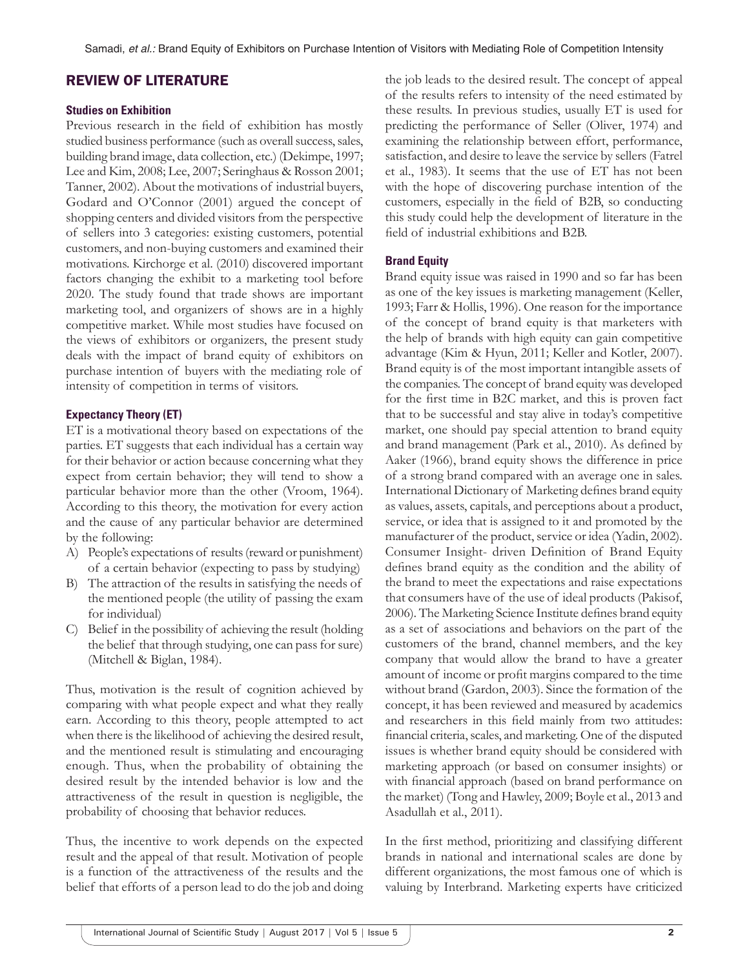# REVIEW OF LITERATURE

### **Studies on Exhibition**

Previous research in the field of exhibition has mostly studied business performance (such as overall success, sales, building brand image, data collection, etc.) (Dekimpe, 1997; Lee and Kim, 2008; Lee, 2007; Seringhaus & Rosson 2001; Tanner, 2002). About the motivations of industrial buyers, Godard and O'Connor (2001) argued the concept of shopping centers and divided visitors from the perspective of sellers into 3 categories: existing customers, potential customers, and non-buying customers and examined their motivations. Kirchorge et al. (2010) discovered important factors changing the exhibit to a marketing tool before 2020. The study found that trade shows are important marketing tool, and organizers of shows are in a highly competitive market. While most studies have focused on the views of exhibitors or organizers, the present study deals with the impact of brand equity of exhibitors on purchase intention of buyers with the mediating role of intensity of competition in terms of visitors.

## **Expectancy Theory (ET)**

ET is a motivational theory based on expectations of the parties. ET suggests that each individual has a certain way for their behavior or action because concerning what they expect from certain behavior; they will tend to show a particular behavior more than the other (Vroom, 1964). According to this theory, the motivation for every action and the cause of any particular behavior are determined by the following:

- A) People's expectations of results (reward or punishment) of a certain behavior (expecting to pass by studying)
- B) The attraction of the results in satisfying the needs of the mentioned people (the utility of passing the exam for individual)
- C) Belief in the possibility of achieving the result (holding the belief that through studying, one can pass for sure) (Mitchell & Biglan, 1984).

Thus, motivation is the result of cognition achieved by comparing with what people expect and what they really earn. According to this theory, people attempted to act when there is the likelihood of achieving the desired result, and the mentioned result is stimulating and encouraging enough. Thus, when the probability of obtaining the desired result by the intended behavior is low and the attractiveness of the result in question is negligible, the probability of choosing that behavior reduces.

Thus, the incentive to work depends on the expected result and the appeal of that result. Motivation of people is a function of the attractiveness of the results and the belief that efforts of a person lead to do the job and doing the job leads to the desired result. The concept of appeal of the results refers to intensity of the need estimated by these results. In previous studies, usually ET is used for predicting the performance of Seller (Oliver, 1974) and examining the relationship between effort, performance, satisfaction, and desire to leave the service by sellers (Fatrel et al., 1983). It seems that the use of ET has not been with the hope of discovering purchase intention of the customers, especially in the field of B2B, so conducting this study could help the development of literature in the field of industrial exhibitions and B2B.

## **Brand Equity**

Brand equity issue was raised in 1990 and so far has been as one of the key issues is marketing management (Keller, 1993; Farr & Hollis, 1996). One reason for the importance of the concept of brand equity is that marketers with the help of brands with high equity can gain competitive advantage (Kim & Hyun, 2011; Keller and Kotler, 2007). Brand equity is of the most important intangible assets of the companies. The concept of brand equity was developed for the first time in B2C market, and this is proven fact that to be successful and stay alive in today's competitive market, one should pay special attention to brand equity and brand management (Park et al., 2010). As defined by Aaker (1966), brand equity shows the difference in price of a strong brand compared with an average one in sales. International Dictionary of Marketing defines brand equity as values, assets, capitals, and perceptions about a product, service, or idea that is assigned to it and promoted by the manufacturer of the product, service or idea (Yadin, 2002). Consumer Insight- driven Definition of Brand Equity defines brand equity as the condition and the ability of the brand to meet the expectations and raise expectations that consumers have of the use of ideal products (Pakisof, 2006). The Marketing Science Institute defines brand equity as a set of associations and behaviors on the part of the customers of the brand, channel members, and the key company that would allow the brand to have a greater amount of income or profit margins compared to the time without brand (Gardon, 2003). Since the formation of the concept, it has been reviewed and measured by academics and researchers in this field mainly from two attitudes: financial criteria, scales, and marketing. One of the disputed issues is whether brand equity should be considered with marketing approach (or based on consumer insights) or with financial approach (based on brand performance on the market) (Tong and Hawley, 2009; Boyle et al., 2013 and Asadullah et al., 2011).

In the first method, prioritizing and classifying different brands in national and international scales are done by different organizations, the most famous one of which is valuing by Interbrand. Marketing experts have criticized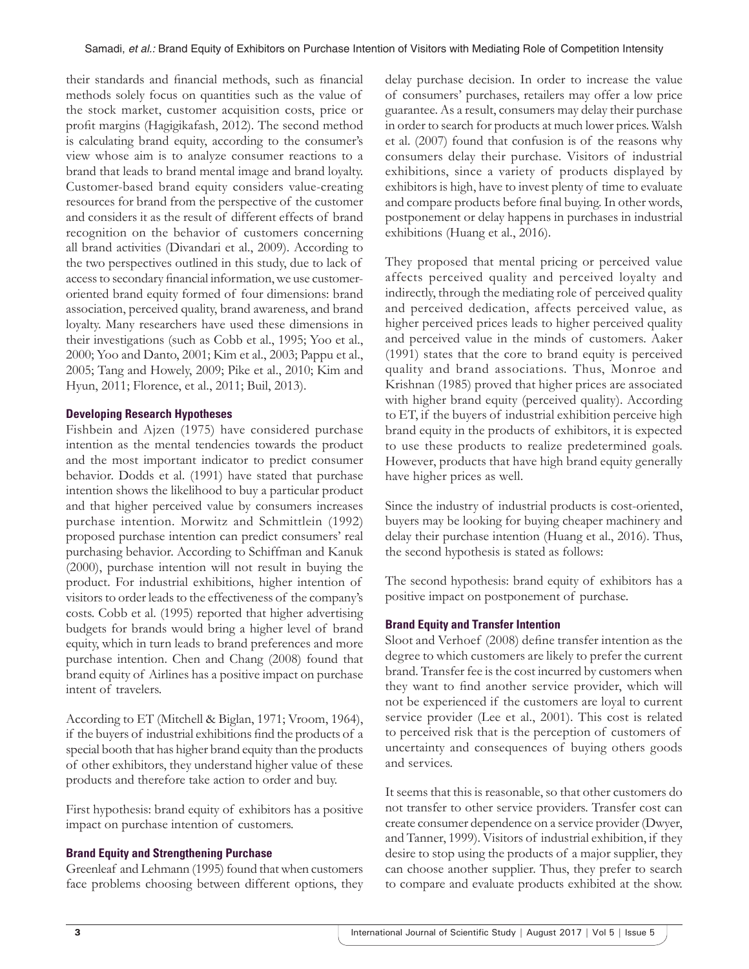their standards and financial methods, such as financial methods solely focus on quantities such as the value of the stock market, customer acquisition costs, price or profit margins (Hagigikafash, 2012). The second method is calculating brand equity, according to the consumer's view whose aim is to analyze consumer reactions to a brand that leads to brand mental image and brand loyalty. Customer-based brand equity considers value-creating resources for brand from the perspective of the customer and considers it as the result of different effects of brand recognition on the behavior of customers concerning all brand activities (Divandari et al., 2009). According to the two perspectives outlined in this study, due to lack of access to secondary financial information, we use customeroriented brand equity formed of four dimensions: brand association, perceived quality, brand awareness, and brand loyalty. Many researchers have used these dimensions in their investigations (such as Cobb et al., 1995; Yoo et al., 2000; Yoo and Danto, 2001; Kim et al., 2003; Pappu et al., 2005; Tang and Howely, 2009; Pike et al., 2010; Kim and Hyun, 2011; Florence, et al., 2011; Buil, 2013).

#### **Developing Research Hypotheses**

Fishbein and Ajzen (1975) have considered purchase intention as the mental tendencies towards the product and the most important indicator to predict consumer behavior. Dodds et al. (1991) have stated that purchase intention shows the likelihood to buy a particular product and that higher perceived value by consumers increases purchase intention. Morwitz and Schmittlein (1992) proposed purchase intention can predict consumers' real purchasing behavior. According to Schiffman and Kanuk (2000), purchase intention will not result in buying the product. For industrial exhibitions, higher intention of visitors to order leads to the effectiveness of the company's costs. Cobb et al. (1995) reported that higher advertising budgets for brands would bring a higher level of brand equity, which in turn leads to brand preferences and more purchase intention. Chen and Chang (2008) found that brand equity of Airlines has a positive impact on purchase intent of travelers.

According to ET (Mitchell & Biglan, 1971; Vroom, 1964), if the buyers of industrial exhibitions find the products of a special booth that has higher brand equity than the products of other exhibitors, they understand higher value of these products and therefore take action to order and buy.

First hypothesis: brand equity of exhibitors has a positive impact on purchase intention of customers.

#### **Brand Equity and Strengthening Purchase**

Greenleaf and Lehmann (1995) found that when customers face problems choosing between different options, they delay purchase decision. In order to increase the value of consumers' purchases, retailers may offer a low price guarantee. As a result, consumers may delay their purchase in order to search for products at much lower prices. Walsh et al. (2007) found that confusion is of the reasons why consumers delay their purchase. Visitors of industrial exhibitions, since a variety of products displayed by exhibitors is high, have to invest plenty of time to evaluate and compare products before final buying. In other words, postponement or delay happens in purchases in industrial exhibitions (Huang et al., 2016).

They proposed that mental pricing or perceived value affects perceived quality and perceived loyalty and indirectly, through the mediating role of perceived quality and perceived dedication, affects perceived value, as higher perceived prices leads to higher perceived quality and perceived value in the minds of customers. Aaker (1991) states that the core to brand equity is perceived quality and brand associations. Thus, Monroe and Krishnan (1985) proved that higher prices are associated with higher brand equity (perceived quality). According to ET, if the buyers of industrial exhibition perceive high brand equity in the products of exhibitors, it is expected to use these products to realize predetermined goals. However, products that have high brand equity generally have higher prices as well.

Since the industry of industrial products is cost-oriented, buyers may be looking for buying cheaper machinery and delay their purchase intention (Huang et al., 2016). Thus, the second hypothesis is stated as follows:

The second hypothesis: brand equity of exhibitors has a positive impact on postponement of purchase.

#### **Brand Equity and Transfer Intention**

Sloot and Verhoef (2008) define transfer intention as the degree to which customers are likely to prefer the current brand. Transfer fee is the cost incurred by customers when they want to find another service provider, which will not be experienced if the customers are loyal to current service provider (Lee et al., 2001). This cost is related to perceived risk that is the perception of customers of uncertainty and consequences of buying others goods and services.

It seems that this is reasonable, so that other customers do not transfer to other service providers. Transfer cost can create consumer dependence on a service provider (Dwyer, and Tanner, 1999). Visitors of industrial exhibition, if they desire to stop using the products of a major supplier, they can choose another supplier. Thus, they prefer to search to compare and evaluate products exhibited at the show.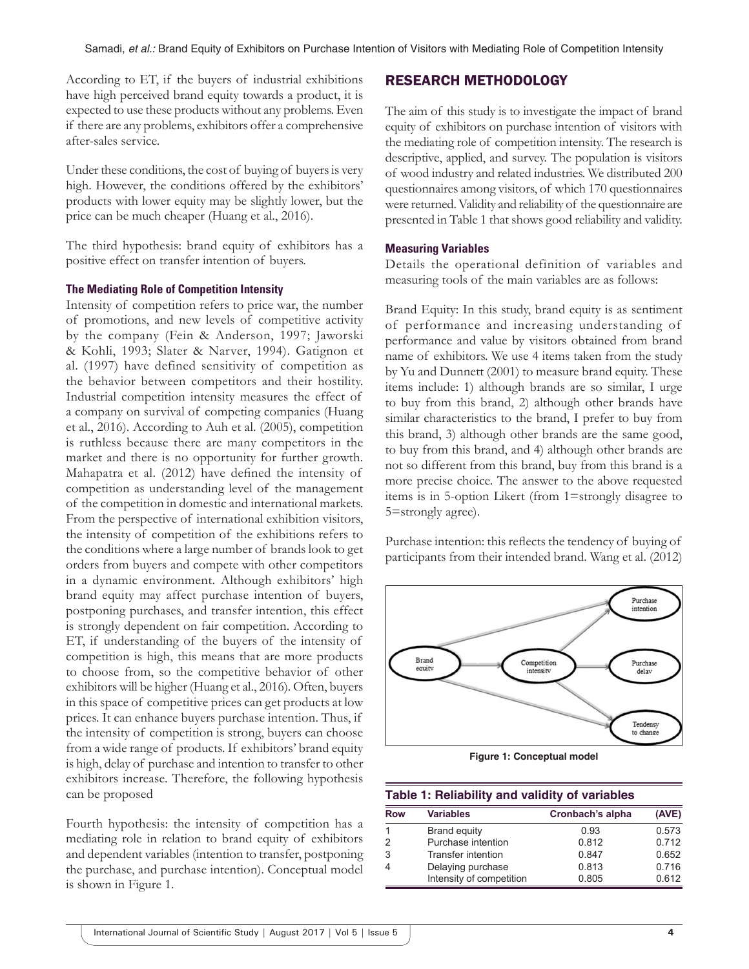According to ET, if the buyers of industrial exhibitions have high perceived brand equity towards a product, it is expected to use these products without any problems. Even if there are any problems, exhibitors offer a comprehensive after-sales service.

Under these conditions, the cost of buying of buyers is very high. However, the conditions offered by the exhibitors' products with lower equity may be slightly lower, but the price can be much cheaper (Huang et al., 2016).

The third hypothesis: brand equity of exhibitors has a positive effect on transfer intention of buyers.

#### **The Mediating Role of Competition Intensity**

Intensity of competition refers to price war, the number of promotions, and new levels of competitive activity by the company (Fein & Anderson, 1997; Jaworski & Kohli, 1993; Slater & Narver, 1994). Gatignon et al. (1997) have defined sensitivity of competition as the behavior between competitors and their hostility. Industrial competition intensity measures the effect of a company on survival of competing companies (Huang et al., 2016). According to Auh et al. (2005), competition is ruthless because there are many competitors in the market and there is no opportunity for further growth. Mahapatra et al. (2012) have defined the intensity of competition as understanding level of the management of the competition in domestic and international markets. From the perspective of international exhibition visitors, the intensity of competition of the exhibitions refers to the conditions where a large number of brands look to get orders from buyers and compete with other competitors in a dynamic environment. Although exhibitors' high brand equity may affect purchase intention of buyers, postponing purchases, and transfer intention, this effect is strongly dependent on fair competition. According to ET, if understanding of the buyers of the intensity of competition is high, this means that are more products to choose from, so the competitive behavior of other exhibitors will be higher (Huang et al., 2016). Often, buyers in this space of competitive prices can get products at low prices. It can enhance buyers purchase intention. Thus, if the intensity of competition is strong, buyers can choose from a wide range of products. If exhibitors' brand equity is high, delay of purchase and intention to transfer to other exhibitors increase. Therefore, the following hypothesis can be proposed

Fourth hypothesis: the intensity of competition has a mediating role in relation to brand equity of exhibitors and dependent variables (intention to transfer, postponing the purchase, and purchase intention). Conceptual model is shown in Figure 1.

# RESEARCH METHODOLOGY

The aim of this study is to investigate the impact of brand equity of exhibitors on purchase intention of visitors with the mediating role of competition intensity. The research is descriptive, applied, and survey. The population is visitors of wood industry and related industries. We distributed 200 questionnaires among visitors, of which 170 questionnaires were returned. Validity and reliability of the questionnaire are presented in Table 1 that shows good reliability and validity.

#### **Measuring Variables**

Details the operational definition of variables and measuring tools of the main variables are as follows:

Brand Equity: In this study, brand equity is as sentiment of performance and increasing understanding of performance and value by visitors obtained from brand name of exhibitors. We use 4 items taken from the study by Yu and Dunnett (2001) to measure brand equity. These items include: 1) although brands are so similar, I urge to buy from this brand, 2) although other brands have similar characteristics to the brand, I prefer to buy from this brand, 3) although other brands are the same good, to buy from this brand, and 4) although other brands are not so different from this brand, buy from this brand is a more precise choice. The answer to the above requested items is in 5-option Likert (from 1=strongly disagree to 5=strongly agree).

Purchase intention: this reflects the tendency of buying of participants from their intended brand. Wang et al. (2012)



**Figure 1: Conceptual model**

#### **Table 1: Reliability and validity of variables**

| <b>Row</b> | <b>Variables</b>          | Cronbach's alpha | (AVE) |
|------------|---------------------------|------------------|-------|
|            | Brand equity              | 0.93             | 0.573 |
|            | Purchase intention        | 0.812            | 0.712 |
| 3          | <b>Transfer intention</b> | 0.847            | 0.652 |
|            | Delaying purchase         | 0.813            | 0.716 |
|            | Intensity of competition  | 0.805            | 0.612 |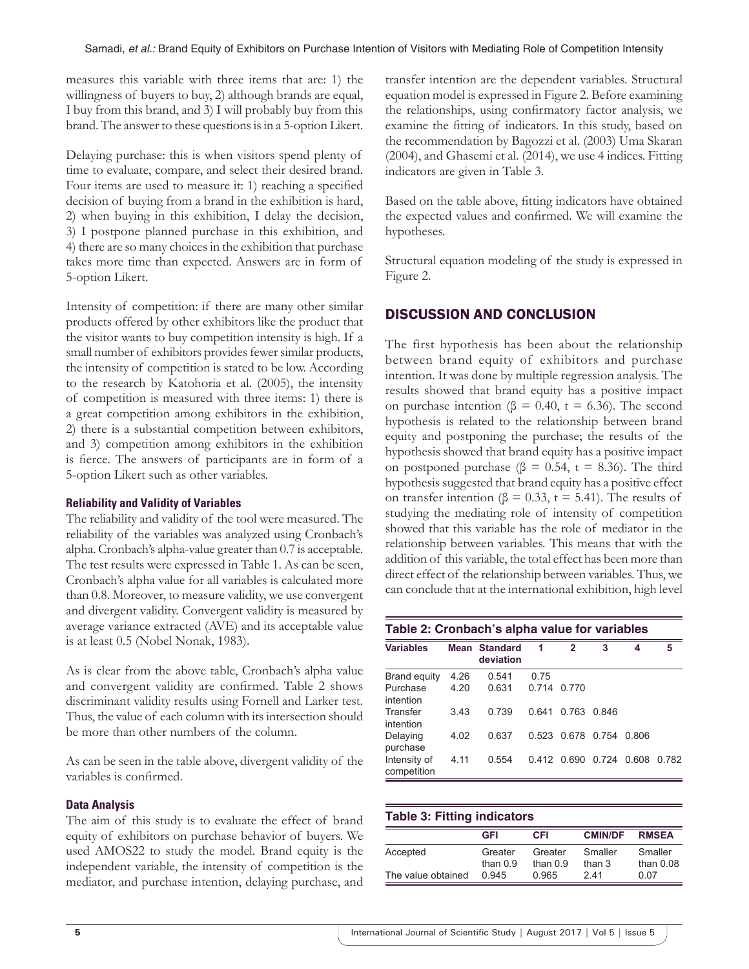measures this variable with three items that are: 1) the willingness of buyers to buy, 2) although brands are equal, I buy from this brand, and 3) I will probably buy from this brand. The answer to these questions is in a 5-option Likert.

Delaying purchase: this is when visitors spend plenty of time to evaluate, compare, and select their desired brand. Four items are used to measure it: 1) reaching a specified decision of buying from a brand in the exhibition is hard, 2) when buying in this exhibition, I delay the decision, 3) I postpone planned purchase in this exhibition, and 4) there are so many choices in the exhibition that purchase takes more time than expected. Answers are in form of 5-option Likert.

Intensity of competition: if there are many other similar products offered by other exhibitors like the product that the visitor wants to buy competition intensity is high. If a small number of exhibitors provides fewer similar products, the intensity of competition is stated to be low. According to the research by Katohoria et al. (2005), the intensity of competition is measured with three items: 1) there is a great competition among exhibitors in the exhibition, 2) there is a substantial competition between exhibitors, and 3) competition among exhibitors in the exhibition is fierce. The answers of participants are in form of a 5-option Likert such as other variables.

#### **Reliability and Validity of Variables**

The reliability and validity of the tool were measured. The reliability of the variables was analyzed using Cronbach's alpha. Cronbach's alpha-value greater than 0.7 is acceptable. The test results were expressed in Table 1. As can be seen, Cronbach's alpha value for all variables is calculated more than 0.8. Moreover, to measure validity, we use convergent and divergent validity. Convergent validity is measured by average variance extracted (AVE) and its acceptable value is at least 0.5 (Nobel Nonak, 1983).

As is clear from the above table, Cronbach's alpha value and convergent validity are confirmed. Table 2 shows discriminant validity results using Fornell and Larker test. Thus, the value of each column with its intersection should be more than other numbers of the column.

As can be seen in the table above, divergent validity of the variables is confirmed.

## **Data Analysis**

The aim of this study is to evaluate the effect of brand equity of exhibitors on purchase behavior of buyers. We used AMOS22 to study the model. Brand equity is the independent variable, the intensity of competition is the mediator, and purchase intention, delaying purchase, and transfer intention are the dependent variables. Structural equation model is expressed in Figure 2. Before examining the relationships, using confirmatory factor analysis, we examine the fitting of indicators. In this study, based on the recommendation by Bagozzi et al. (2003) Uma Skaran (2004), and Ghasemi et al. (2014), we use 4 indices. Fitting indicators are given in Table 3.

Based on the table above, fitting indicators have obtained the expected values and confirmed. We will examine the hypotheses.

Structural equation modeling of the study is expressed in Figure 2.

# DISCUSSION AND CONCLUSION

The first hypothesis has been about the relationship between brand equity of exhibitors and purchase intention. It was done by multiple regression analysis. The results showed that brand equity has a positive impact on purchase intention ( $\beta$  = 0.40, t = 6.36). The second hypothesis is related to the relationship between brand equity and postponing the purchase; the results of the hypothesis showed that brand equity has a positive impact on postponed purchase ( $\beta = 0.54$ ,  $t = 8.36$ ). The third hypothesis suggested that brand equity has a positive effect on transfer intention ( $\beta = 0.33$ , t = 5.41). The results of studying the mediating role of intensity of competition showed that this variable has the role of mediator in the relationship between variables. This means that with the addition of this variable, the total effect has been more than direct effect of the relationship between variables. Thus, we can conclude that at the international exhibition, high level

| Table 2: Cronbach's alpha value for variables |       |                            |         |                |         |       |       |  |  |  |
|-----------------------------------------------|-------|----------------------------|---------|----------------|---------|-------|-------|--|--|--|
| <b>Variables</b>                              |       | Mean Standard<br>deviation | 1       | $\overline{2}$ | 3       | 4     | 5     |  |  |  |
| <b>Brand equity</b>                           | 4.26  | 0.541                      | 0.75    |                |         |       |       |  |  |  |
| Purchase<br>intention                         | 4 2 0 | 0631                       | 0 7 1 4 | 0.770          |         |       |       |  |  |  |
| Transfer<br>intention                         | 343   | 0 739                      | 0.641   | 0 763          | 0.846   |       |       |  |  |  |
| Delaying<br>purchase                          | 4.02  | 0.637                      | 0.523   | 0.678          | 0 754   | 0.806 |       |  |  |  |
| Intensity of<br>competition                   | 4 11  | 0.554                      | 0.412   | 0.690          | 0 7 2 4 | 0.608 | 0.782 |  |  |  |

#### **Table 3: Fitting indicators**

|                    | GFI        | <b>CFI</b> | <b>CMIN/DF</b> | <b>RMSEA</b> |
|--------------------|------------|------------|----------------|--------------|
| Accepted           | Greater    | Greater    | Smaller        | Smaller      |
|                    | than $0.9$ | than $0.9$ | than 3         | than $0.08$  |
| The value obtained | 0.945      | 0.965      | 241            | 0.07         |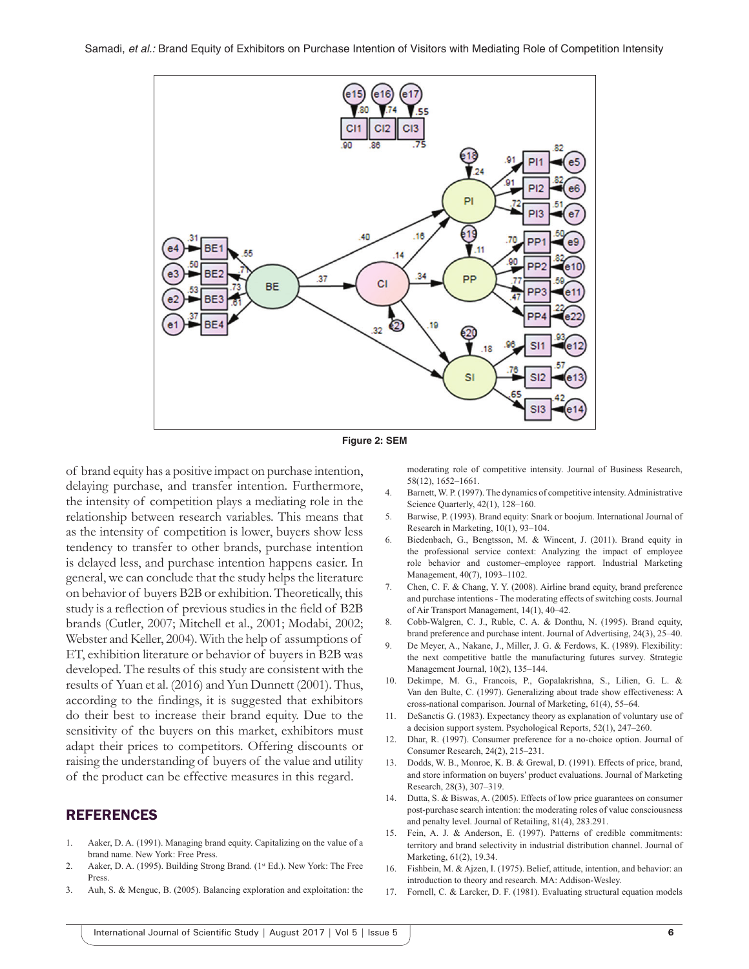

**Figure 2: SEM**

of brand equity has a positive impact on purchase intention, delaying purchase, and transfer intention. Furthermore, the intensity of competition plays a mediating role in the relationship between research variables. This means that as the intensity of competition is lower, buyers show less tendency to transfer to other brands, purchase intention is delayed less, and purchase intention happens easier. In general, we can conclude that the study helps the literature on behavior of buyers B2B or exhibition. Theoretically, this study is a reflection of previous studies in the field of B2B brands (Cutler, 2007; Mitchell et al., 2001; Modabi, 2002; Webster and Keller, 2004). With the help of assumptions of ET, exhibition literature or behavior of buyers in B2B was developed. The results of this study are consistent with the results of Yuan et al. (2016) and Yun Dunnett (2001). Thus, according to the findings, it is suggested that exhibitors do their best to increase their brand equity. Due to the sensitivity of the buyers on this market, exhibitors must adapt their prices to competitors. Offering discounts or raising the understanding of buyers of the value and utility of the product can be effective measures in this regard.

#### REFERENCES

- 1. Aaker, D. A. (1991). Managing brand equity. Capitalizing on the value of a brand name. New York: Free Press.
- 2. Aaker, D. A. (1995). Building Strong Brand. (1<sup>st</sup> Ed.). New York: The Free **Press**
- 3. Auh, S. & Menguc, B. (2005). Balancing exploration and exploitation: the

moderating role of competitive intensity. Journal of Business Research, 58(12), 1652–1661.

- 4. Barnett, W. P. (1997). The dynamics of competitive intensity. Administrative Science Quarterly, 42(1), 128–160.
- 5. Barwise, P. (1993). Brand equity: Snark or boojum. International Journal of Research in Marketing, 10(1), 93–104.
- 6. Biedenbach, G., Bengtsson, M. & Wincent, J. (2011). Brand equity in the professional service context: Analyzing the impact of employee role behavior and customer–employee rapport. Industrial Marketing Management, 40(7), 1093–1102.
- 7. Chen, C. F. & Chang, Y. Y. (2008). Airline brand equity, brand preference and purchase intentions - The moderating effects of switching costs. Journal of Air Transport Management, 14(1), 40–42.
- 8. Cobb-Walgren, C. J., Ruble, C. A. & Donthu, N. (1995). Brand equity, brand preference and purchase intent. Journal of Advertising, 24(3), 25–40.
- 9. De Meyer, A., Nakane, J., Miller, J. G. & Ferdows, K. (1989). Flexibility: the next competitive battle the manufacturing futures survey. Strategic Management Journal, 10(2), 135–144.
- 10. Dekimpe, M. G., Francois, P., Gopalakrishna, S., Lilien, G. L. & Van den Bulte, C. (1997). Generalizing about trade show effectiveness: A cross-national comparison. Journal of Marketing, 61(4), 55–64.
- 11. DeSanctis G. (1983). Expectancy theory as explanation of voluntary use of a decision support system. Psychological Reports, 52(1), 247–260.
- 12. Dhar, R. (1997). Consumer preference for a no-choice option. Journal of Consumer Research, 24(2), 215–231.
- 13. Dodds, W. B., Monroe, K. B. & Grewal, D. (1991). Effects of price, brand, and store information on buyers' product evaluations. Journal of Marketing Research, 28(3), 307–319.
- 14. Dutta, S. & Biswas, A. (2005). Effects of low price guarantees on consumer post-purchase search intention: the moderating roles of value consciousness and penalty level. Journal of Retailing, 81(4), 283.291.
- 15. Fein, A. J. & Anderson, E. (1997). Patterns of credible commitments: territory and brand selectivity in industrial distribution channel. Journal of Marketing, 61(2), 19.34.
- 16. Fishbein, M. & Ajzen, I. (1975). Belief, attitude, intention, and behavior: an introduction to theory and research. MA: Addison-Wesley.
- 17. Fornell, C. & Larcker, D. F. (1981). Evaluating structural equation models